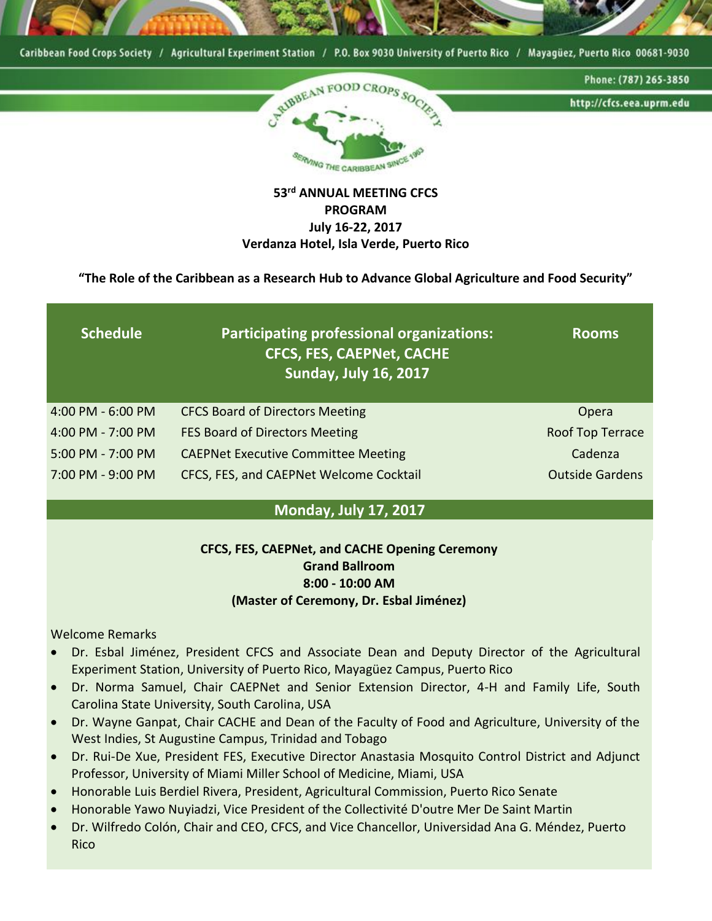

### **53rd ANNUAL MEETING CFCS PROGRAM July 16-22, 2017 Verdanza Hotel, Isla Verde, Puerto Rico**

**"The Role of the Caribbean as a Research Hub to Advance Global Agriculture and Food Security"**

| <b>Schedule</b>       | Participating professional organizations:<br><b>CFCS, FES, CAEPNet, CACHE</b><br><b>Sunday, July 16, 2017</b> | <b>Rooms</b>           |
|-----------------------|---------------------------------------------------------------------------------------------------------------|------------------------|
| $4:00$ PM - $6:00$ PM | <b>CFCS Board of Directors Meeting</b>                                                                        | Opera                  |
| 4:00 PM - 7:00 PM     | FES Board of Directors Meeting                                                                                | Roof Top Terrace       |
| 5:00 PM - 7:00 PM     | <b>CAEPNet Executive Committee Meeting</b>                                                                    | Cadenza                |
| 7:00 PM - 9:00 PM     | CFCS, FES, and CAEPNet Welcome Cocktail                                                                       | <b>Outside Gardens</b> |

### **Monday, July 17, 2017**

### **CFCS, FES, CAEPNet, and CACHE Opening Ceremony Grand Ballroom 8:00 - 10:00 AM (Master of Ceremony, Dr. Esbal Jiménez)**

Welcome Remarks

- Dr. Esbal Jiménez, President CFCS and Associate Dean and Deputy Director of the Agricultural Experiment Station, University of Puerto Rico, Mayagüez Campus, Puerto Rico
- Dr. Norma Samuel, Chair CAEPNet and Senior Extension Director, 4-H and Family Life, South Carolina State University, South Carolina, USA
- Dr. Wayne Ganpat, Chair CACHE and Dean of the Faculty of Food and Agriculture, University of the West Indies, St Augustine Campus, Trinidad and Tobago
- Dr. Rui-De Xue, President FES, Executive Director Anastasia Mosquito Control District and Adjunct Professor, University of Miami Miller School of Medicine, Miami, USA
- Honorable Luis Berdiel Rivera, President, Agricultural Commission, Puerto Rico Senate
- Honorable Yawo Nuyiadzi, Vice President of the Collectivité D'outre Mer De Saint Martin
- Dr. Wilfredo Colón, Chair and CEO, CFCS, and Vice Chancellor, Universidad Ana G. Méndez, Puerto Rico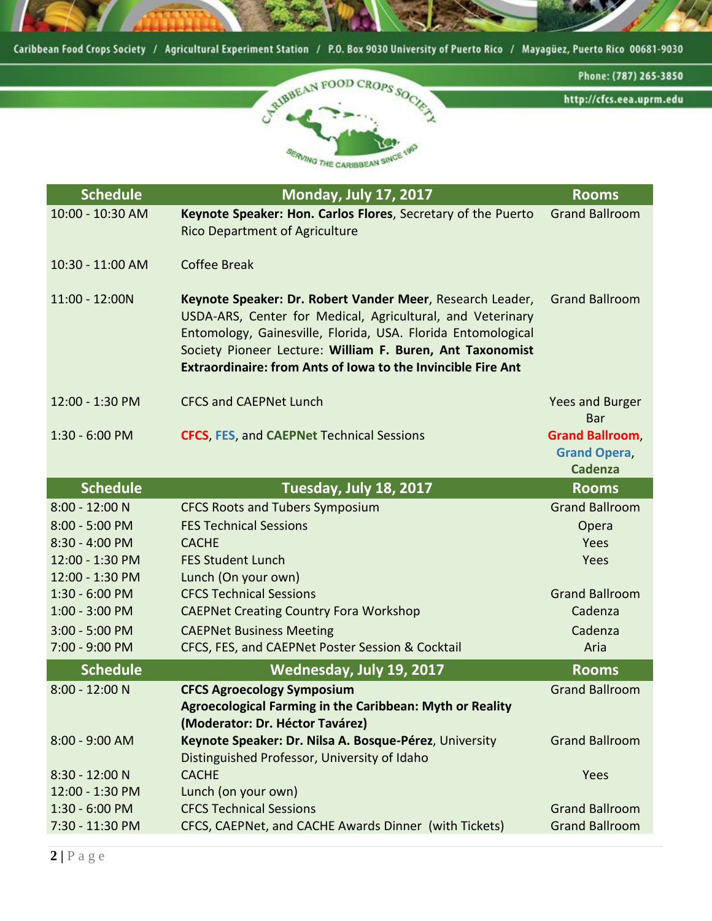

| <b>Schedule</b>  | <b>Monday, July 17, 2017</b>                                                                                                                                                                                                                                                                                                | <b>Rooms</b>                                                   |
|------------------|-----------------------------------------------------------------------------------------------------------------------------------------------------------------------------------------------------------------------------------------------------------------------------------------------------------------------------|----------------------------------------------------------------|
| 10:00 - 10:30 AM | Keynote Speaker: Hon. Carlos Flores, Secretary of the Puerto<br><b>Rico Department of Agriculture</b>                                                                                                                                                                                                                       | <b>Grand Ballroom</b>                                          |
| 10:30 - 11:00 AM | <b>Coffee Break</b>                                                                                                                                                                                                                                                                                                         |                                                                |
| 11:00 - 12:00N   | Keynote Speaker: Dr. Robert Vander Meer, Research Leader,<br>USDA-ARS, Center for Medical, Agricultural, and Veterinary<br>Entomology, Gainesville, Florida, USA. Florida Entomological<br>Society Pioneer Lecture: William F. Buren, Ant Taxonomist<br><b>Extraordinaire: from Ants of Iowa to the Invincible Fire Ant</b> | <b>Grand Ballroom</b>                                          |
| 12:00 - 1:30 PM  | <b>CFCS and CAEPNet Lunch</b>                                                                                                                                                                                                                                                                                               | Yees and Burger<br>Bar                                         |
| $1:30 - 6:00$ PM | <b>CFCS, FES, and CAEPNet Technical Sessions</b>                                                                                                                                                                                                                                                                            | <b>Grand Ballroom</b><br><b>Grand Opera,</b><br><b>Cadenza</b> |
| <b>Schedule</b>  | Tuesday, July 18, 2017                                                                                                                                                                                                                                                                                                      | <b>Rooms</b>                                                   |
| 8:00 - 12:00 N   | <b>CFCS Roots and Tubers Symposium</b>                                                                                                                                                                                                                                                                                      | <b>Grand Ballroom</b>                                          |
| 8:00 - 5:00 PM   | <b>FES Technical Sessions</b>                                                                                                                                                                                                                                                                                               | Opera                                                          |
| $8:30 - 4:00$ PM | <b>CACHE</b>                                                                                                                                                                                                                                                                                                                | Yees                                                           |
| 12:00 - 1:30 PM  | <b>FES Student Lunch</b>                                                                                                                                                                                                                                                                                                    | Yees                                                           |
| 12:00 - 1:30 PM  | Lunch (On your own)                                                                                                                                                                                                                                                                                                         |                                                                |
| $1:30 - 6:00$ PM | <b>CFCS Technical Sessions</b>                                                                                                                                                                                                                                                                                              | <b>Grand Ballroom</b>                                          |
| $1:00 - 3:00$ PM | <b>CAEPNet Creating Country Fora Workshop</b>                                                                                                                                                                                                                                                                               | Cadenza                                                        |
| $3:00 - 5:00 PM$ | <b>CAEPNet Business Meeting</b>                                                                                                                                                                                                                                                                                             | Cadenza                                                        |
| 7:00 - 9:00 PM   | CFCS, FES, and CAEPNet Poster Session & Cocktail                                                                                                                                                                                                                                                                            | Aria                                                           |
| <b>Schedule</b>  | <b>Wednesday, July 19, 2017</b>                                                                                                                                                                                                                                                                                             | <b>Rooms</b>                                                   |
| 8:00 - 12:00 N   | <b>CFCS Agroecology Symposium</b><br>Agroecological Farming in the Caribbean: Myth or Reality<br>(Moderator: Dr. Héctor Tavárez)                                                                                                                                                                                            | <b>Grand Ballroom</b>                                          |
| 8:00 - 9:00 AM   | Keynote Speaker: Dr. Nilsa A. Bosque-Pérez, University<br>Distinguished Professor, University of Idaho                                                                                                                                                                                                                      | <b>Grand Ballroom</b>                                          |
| 8:30 - 12:00 N   | <b>CACHE</b>                                                                                                                                                                                                                                                                                                                | Yees                                                           |
| 12:00 - 1:30 PM  | Lunch (on your own)                                                                                                                                                                                                                                                                                                         |                                                                |
| 1:30 - 6:00 PM   | <b>CFCS Technical Sessions</b>                                                                                                                                                                                                                                                                                              | <b>Grand Ballroom</b>                                          |
| 7:30 - 11:30 PM  | CFCS, CAEPNet, and CACHE Awards Dinner (with Tickets)                                                                                                                                                                                                                                                                       | <b>Grand Ballroom</b>                                          |
|                  |                                                                                                                                                                                                                                                                                                                             |                                                                |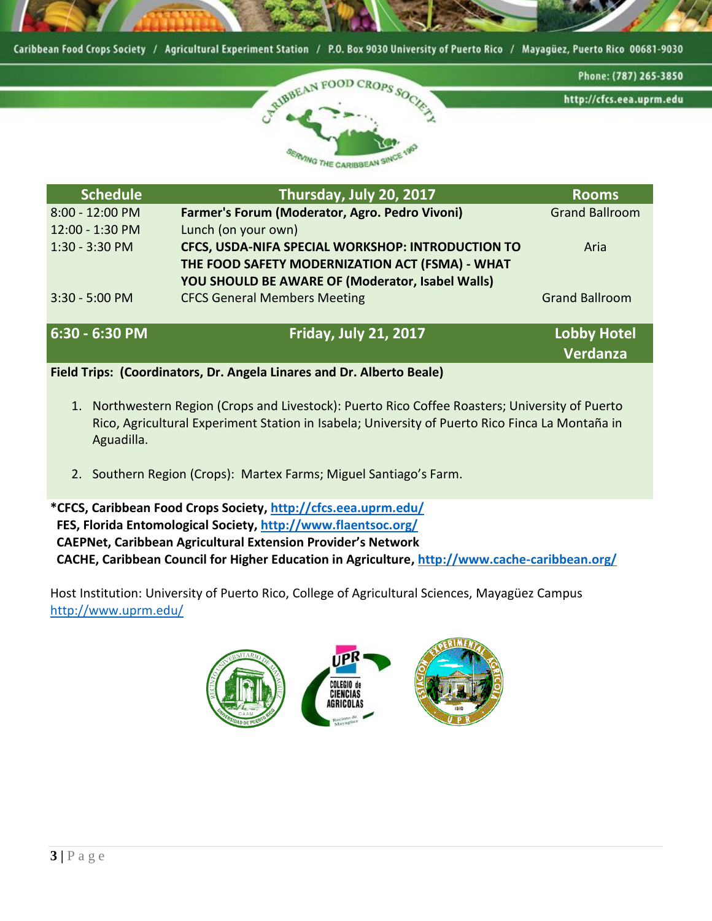



**Verdanza**

| <b>Schedule</b>   | Thursday, July 20, 2017                           | <b>Rooms</b>          |
|-------------------|---------------------------------------------------|-----------------------|
| 8:00 - 12:00 PM   | Farmer's Forum (Moderator, Agro. Pedro Vivoni)    | <b>Grand Ballroom</b> |
| 12:00 - 1:30 PM   | Lunch (on your own)                               |                       |
| $1:30 - 3:30 PM$  | CFCS, USDA-NIFA SPECIAL WORKSHOP: INTRODUCTION TO | Aria                  |
|                   | THE FOOD SAFETY MODERNIZATION ACT (FSMA) - WHAT   |                       |
|                   | YOU SHOULD BE AWARE OF (Moderator, Isabel Walls)  |                       |
| 3:30 - 5:00 PM    | <b>CFCS General Members Meeting</b>               | <b>Grand Ballroom</b> |
|                   |                                                   |                       |
| $6:30 - 6:30 P M$ | <b>Friday, July 21, 2017</b>                      | <b>Lobby Hotel</b>    |

**Field Trips: (Coordinators, Dr. Angela Linares and Dr. Alberto Beale)**

- 1. Northwestern Region (Crops and Livestock): Puerto Rico Coffee Roasters; University of Puerto Rico, Agricultural Experiment Station in Isabela; University of Puerto Rico Finca La Montaña in Aguadilla.
- 2. Southern Region (Crops): Martex Farms; Miguel Santiago's Farm.

**\*CFCS, Caribbean Food Crops Society[, http://cfcs.eea.uprm.edu/](http://cfcs.eea.uprm.edu/) FES, Florida Entomological Society,<http://www.flaentsoc.org/> CAEPNet, Caribbean Agricultural Extension Provider's Network CACHE, Caribbean Council for Higher Education in Agriculture,<http://www.cache-caribbean.org/>**

Host Institution: University of Puerto Rico, College of Agricultural Sciences, Mayagüez Campus <http://www.uprm.edu/>

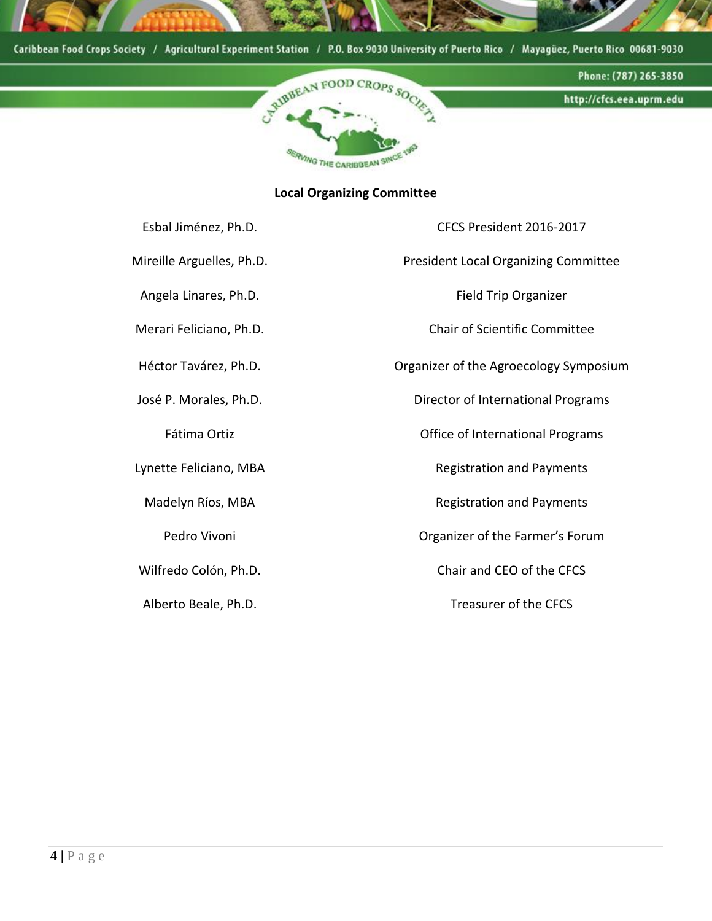



### **Local Organizing Committee**

| Esbal Jiménez, Ph.D.      | CFCS President 2016-2017                    |
|---------------------------|---------------------------------------------|
| Mireille Arguelles, Ph.D. | <b>President Local Organizing Committee</b> |
| Angela Linares, Ph.D.     | <b>Field Trip Organizer</b>                 |
| Merari Feliciano, Ph.D.   | <b>Chair of Scientific Committee</b>        |
| Héctor Tavárez, Ph.D.     | Organizer of the Agroecology Symposium      |
| José P. Morales, Ph.D.    | Director of International Programs          |
| Fátima Ortiz              | Office of International Programs            |
| Lynette Feliciano, MBA    | <b>Registration and Payments</b>            |
| Madelyn Ríos, MBA         | <b>Registration and Payments</b>            |
| Pedro Vivoni              | Organizer of the Farmer's Forum             |
| Wilfredo Colón, Ph.D.     | Chair and CEO of the CFCS                   |
| Alberto Beale, Ph.D.      | Treasurer of the CFCS                       |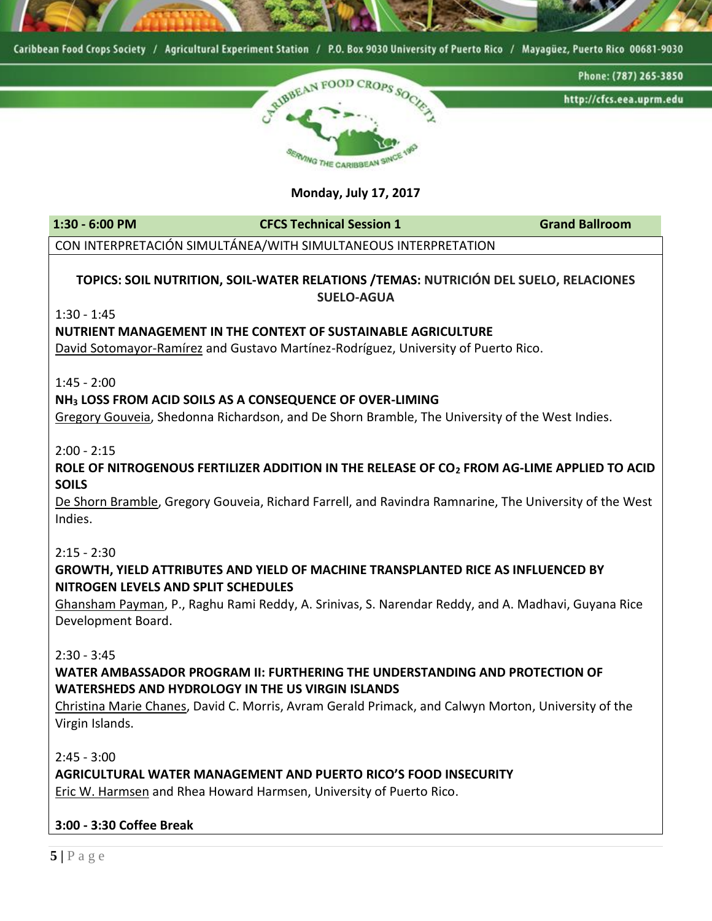



**Monday, July 17, 2017**

**1:30 - 6:00 PM CFCS Technical Session 1 Grand Ballroom**

CON INTERPRETACIÓN SIMULTÁNEA/WITH SIMULTANEOUS INTERPRETATION

### **TOPICS: SOIL NUTRITION, SOIL-WATER RELATIONS /TEMAS: NUTRICIÓN DEL SUELO, RELACIONES SUELO-AGUA**

1:30 - 1:45

#### **NUTRIENT MANAGEMENT IN THE CONTEXT OF SUSTAINABLE AGRICULTURE**

David Sotomayor-Ramírez and Gustavo Martínez-Rodríguez, University of Puerto Rico.

1:45 - 2:00

#### **NH<sup>3</sup> LOSS FROM ACID SOILS AS A CONSEQUENCE OF OVER-LIMING**

Gregory Gouveia, Shedonna Richardson, and De Shorn Bramble, The University of the West Indies.

2:00 - 2:15

#### **ROLE OF NITROGENOUS FERTILIZER ADDITION IN THE RELEASE OF CO<sup>2</sup> FROM AG-LIME APPLIED TO ACID SOILS**

De Shorn Bramble, Gregory Gouveia, Richard Farrell, and Ravindra Ramnarine, The University of the West Indies.

#### 2:15 - 2:30

#### **GROWTH, YIELD ATTRIBUTES AND YIELD OF MACHINE TRANSPLANTED RICE AS INFLUENCED BY NITROGEN LEVELS AND SPLIT SCHEDULES**

Ghansham Payman, P., Raghu Rami Reddy, A. Srinivas, S. Narendar Reddy, and A. Madhavi, Guyana Rice Development Board.

2:30 - 3:45

### **WATER AMBASSADOR PROGRAM II: FURTHERING THE UNDERSTANDING AND PROTECTION OF WATERSHEDS AND HYDROLOGY IN THE US VIRGIN ISLANDS**

Christina Marie Chanes, David C. Morris, Avram Gerald Primack, and Calwyn Morton, University of the Virgin Islands.

2:45 - 3:00

### **AGRICULTURAL WATER MANAGEMENT AND PUERTO RICO'S FOOD INSECURITY**

Eric W. Harmsen and Rhea Howard Harmsen, University of Puerto Rico.

### **3:00 - 3:30 Coffee Break**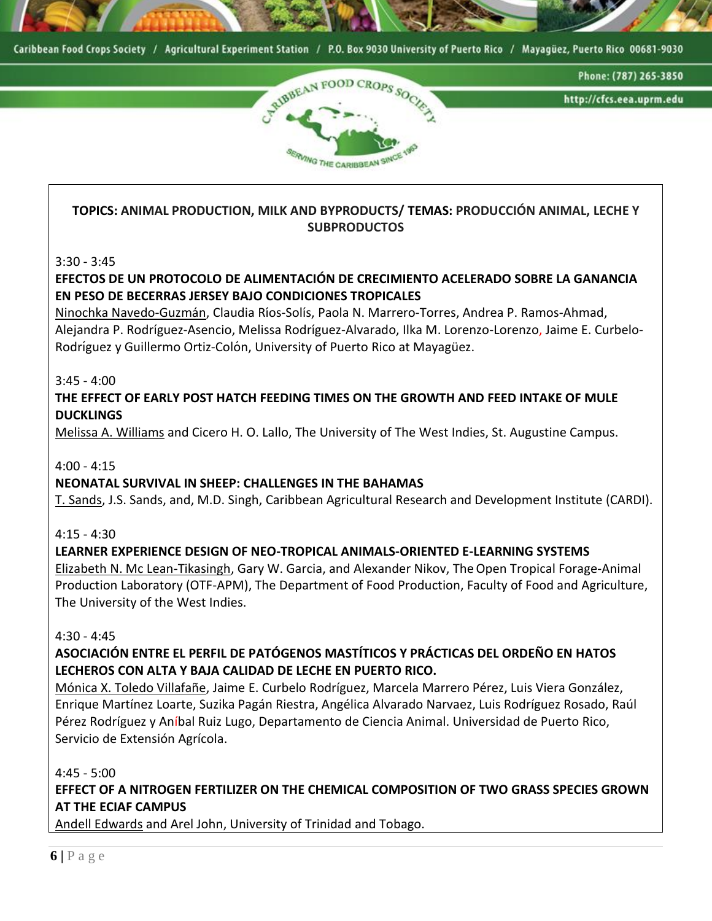



### **TOPICS: ANIMAL PRODUCTION, MILK AND BYPRODUCTS/ TEMAS: PRODUCCIÓN ANIMAL, LECHE Y SUBPRODUCTOS**

3:30 - 3:45

### **EFECTOS DE UN PROTOCOLO DE ALIMENTACIÓN DE CRECIMIENTO ACELERADO SOBRE LA GANANCIA EN PESO DE BECERRAS JERSEY BAJO CONDICIONES TROPICALES**

Ninochka Navedo-Guzmán, Claudia Riós-Soliś, Paola N. Marrero-Torres, Andrea P. Ramos-Ahmad, Alejandra P. Rodriǵuez-Asencio, Melissa Rodriǵuez-Alvarado, Ilka M. Lorenzo-Lorenzo, Jaime E. Curbelo-Rodriǵuez y Guillermo Ortiz-Colón, University of Puerto Rico at Mayagüez.

3:45 - 4:00

### **THE EFFECT OF EARLY POST HATCH FEEDING TIMES ON THE GROWTH AND FEED INTAKE OF MULE DUCKLINGS**

Melissa A. Williams and Cicero H. O. Lallo, The University of The West Indies, St. Augustine Campus.

4:00 - 4:15

### **NEONATAL SURVIVAL IN SHEEP: CHALLENGES IN THE BAHAMAS**

T. Sands, J.S. Sands, and, M.D. Singh, Caribbean Agricultural Research and Development Institute (CARDI).

### $4:15 - 4:30$

### **LEARNER EXPERIENCE DESIGN OF NEO-TROPICAL ANIMALS-ORIENTED E-LEARNING SYSTEMS**

Elizabeth N. Mc Lean-Tikasingh, Gary W. Garcia, and Alexander Nikov, TheOpen Tropical Forage-Animal Production Laboratory (OTF-APM), The Department of Food Production, Faculty of Food and Agriculture, The University of the West Indies.

### 4:30 - 4:45

### **ASOCIACIÓN ENTRE EL PERFIL DE PATÓGENOS MASTÍTICOS Y PRÁCTICAS DEL ORDEÑO EN HATOS LECHEROS CON ALTA Y BAJA CALIDAD DE LECHE EN PUERTO RICO.**

Mónica X. Toledo Villafañe, Jaime E. Curbelo Rodríguez, Marcela Marrero Pérez, Luis Viera González, Enrique Martínez Loarte, Suzika Pagán Riestra, Angélica Alvarado Narvaez, Luis Rodríguez Rosado, Raúl Pérez Rodríguez y Aníbal Ruiz Lugo, Departamento de Ciencia Animal. Universidad de Puerto Rico, Servicio de Extensión Agrícola.

### 4:45 - 5:00

**EFFECT OF A NITROGEN FERTILIZER ON THE CHEMICAL COMPOSITION OF TWO GRASS SPECIES GROWN AT THE ECIAF CAMPUS**

Andell Edwards and Arel John, University of Trinidad and Tobago.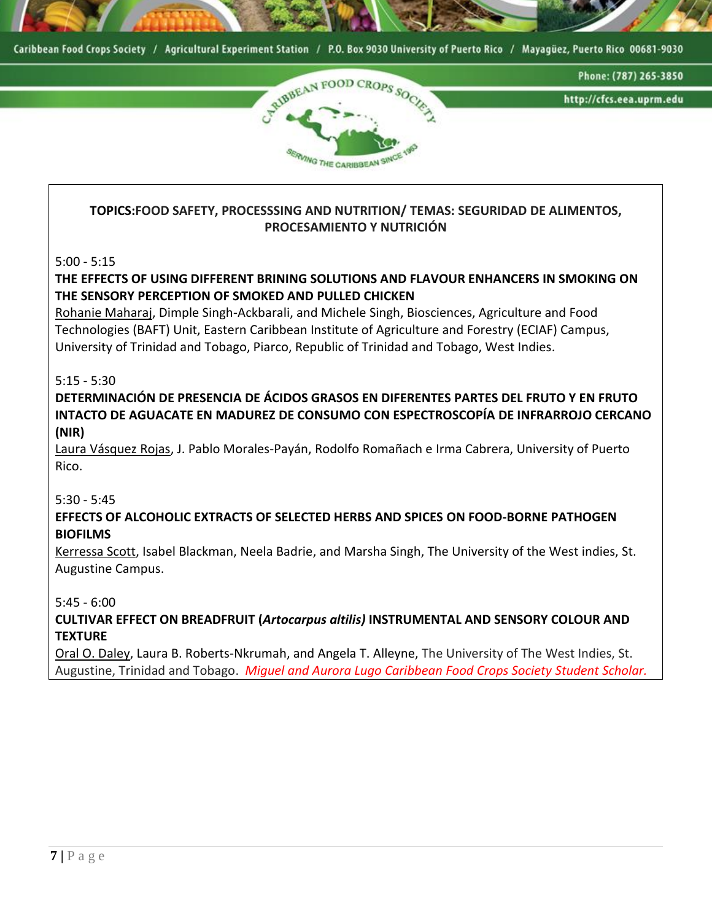



### **TOPICS:FOOD SAFETY, PROCESSSING AND NUTRITION/ TEMAS: SEGURIDAD DE ALIMENTOS, PROCESAMIENTO Y NUTRICIÓN**

5:00 - 5:15

### **THE EFFECTS OF USING DIFFERENT BRINING SOLUTIONS AND FLAVOUR ENHANCERS IN SMOKING ON THE SENSORY PERCEPTION OF SMOKED AND PULLED CHICKEN**

Rohanie Maharaj, Dimple Singh-Ackbarali, and Michele Singh, Biosciences, Agriculture and Food Technologies (BAFT) Unit, Eastern Caribbean Institute of Agriculture and Forestry (ECIAF) Campus, University of Trinidad and Tobago, Piarco, Republic of Trinidad and Tobago, West Indies.

5:15 - 5:30

**DETERMINACIÓN DE PRESENCIA DE ÁCIDOS GRASOS EN DIFERENTES PARTES DEL FRUTO Y EN FRUTO INTACTO DE AGUACATE EN MADUREZ DE CONSUMO CON ESPECTROSCOPÍA DE INFRARROJO CERCANO (NIR)**

Laura Vásquez Rojas, J. Pablo Morales-Payán, Rodolfo Romañach e Irma Cabrera, University of Puerto Rico.

5:30 - 5:45

### **EFFECTS OF ALCOHOLIC EXTRACTS OF SELECTED HERBS AND SPICES ON FOOD-BORNE PATHOGEN BIOFILMS**

Kerressa Scott, Isabel Blackman, Neela Badrie, and Marsha Singh, The University of the West indies, St. Augustine Campus.

5:45 - 6:00

**CULTIVAR EFFECT ON BREADFRUIT (***Artocarpus altilis)* **INSTRUMENTAL AND SENSORY COLOUR AND TEXTURE** 

Oral O. Daley, Laura B. Roberts-Nkrumah, and Angela T. Alleyne, The University of The West Indies, St. Augustine, Trinidad and Tobago. *Miguel and Aurora Lugo Caribbean Food Crops Society Student Scholar.*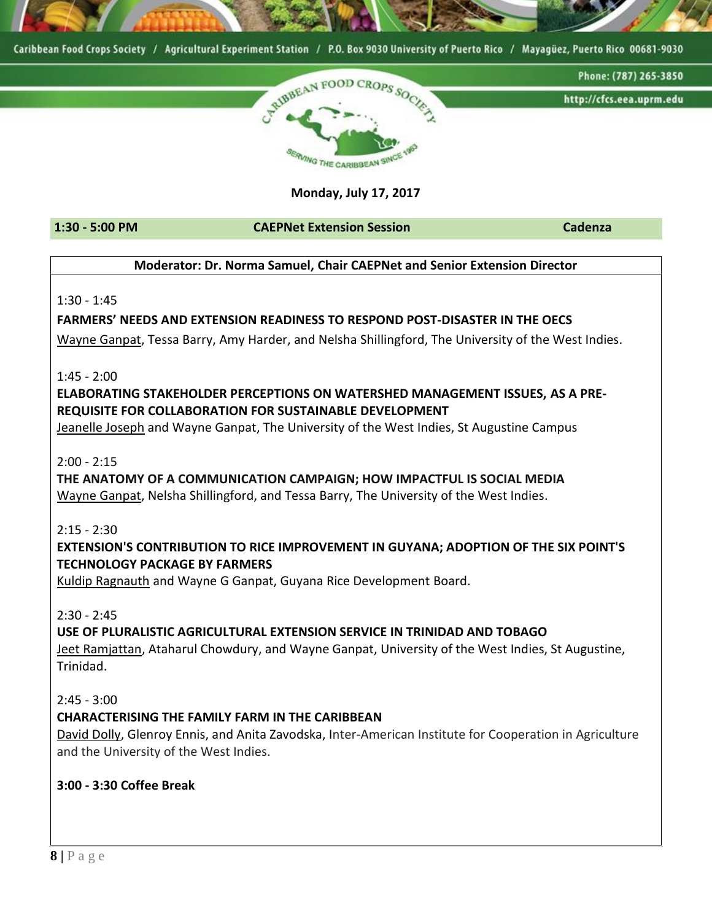

### **Monday, July 17, 2017**

**1:30 - 5:00 PM CAEPNet Extension Session Cadenza**

### **Moderator: Dr. Norma Samuel, Chair CAEPNet and Senior Extension Director**

1:30 - 1:45

### **FARMERS' NEEDS AND EXTENSION READINESS TO RESPOND POST-DISASTER IN THE OECS**

Wayne Ganpat, Tessa Barry, Amy Harder, and Nelsha Shillingford, The University of the West Indies.

1:45 - 2:00

### **ELABORATING STAKEHOLDER PERCEPTIONS ON WATERSHED MANAGEMENT ISSUES, AS A PRE-REQUISITE FOR COLLABORATION FOR SUSTAINABLE DEVELOPMENT**

Jeanelle Joseph and Wayne Ganpat, The University of the West Indies, St Augustine Campus

2:00 - 2:15

# **THE ANATOMY OF A COMMUNICATION CAMPAIGN; HOW IMPACTFUL IS SOCIAL MEDIA**

Wayne Ganpat, Nelsha Shillingford, and Tessa Barry, The University of the West Indies.

2:15 - 2:30

### **EXTENSION'S CONTRIBUTION TO RICE IMPROVEMENT IN GUYANA; ADOPTION OF THE SIX POINT'S TECHNOLOGY PACKAGE BY FARMERS**

Kuldip Ragnauth and Wayne G Ganpat, Guyana Rice Development Board.

2:30 - 2:45

### **USE OF PLURALISTIC AGRICULTURAL EXTENSION SERVICE IN TRINIDAD AND TOBAGO**

Jeet Ramjattan, Ataharul Chowdury, and Wayne Ganpat, University of the West Indies, St Augustine, Trinidad.

2:45 - 3:00

### **CHARACTERISING THE FAMILY FARM IN THE CARIBBEAN**

David Dolly, Glenroy Ennis, and Anita Zavodska, Inter-American Institute for Cooperation in Agriculture and the University of the West Indies.

### **3:00 - 3:30 Coffee Break**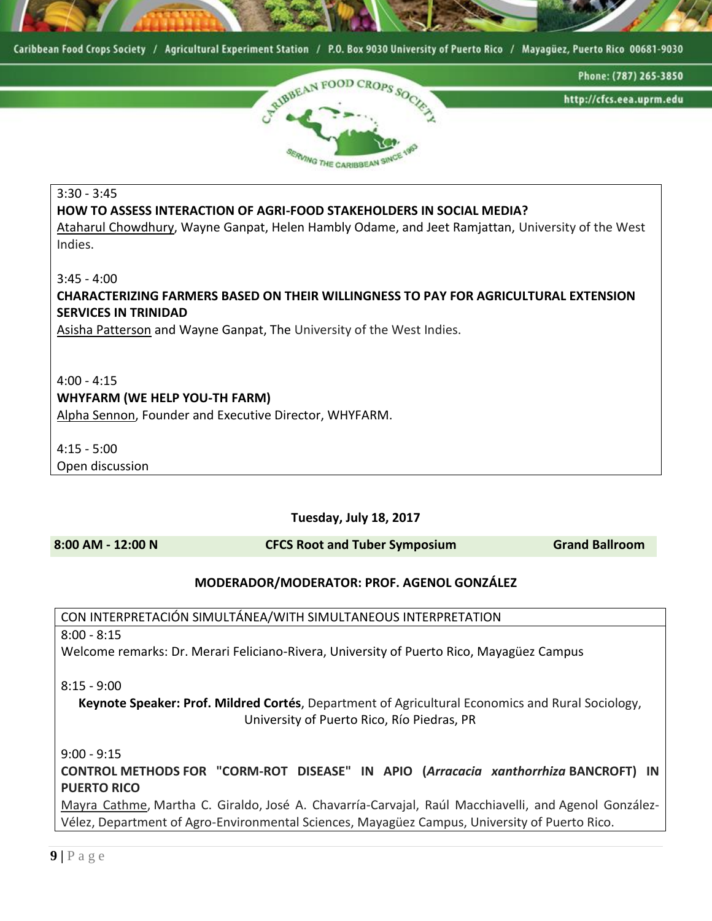



3:30 - 3:45 **HOW TO ASSESS INTERACTION OF AGRI-FOOD STAKEHOLDERS IN SOCIAL MEDIA?**  Ataharul Chowdhury, Wayne Ganpat, Helen Hambly Odame, and Jeet Ramjattan, University of the West Indies. 3:45 - 4:00 **CHARACTERIZING FARMERS BASED ON THEIR WILLINGNESS TO PAY FOR AGRICULTURAL EXTENSION SERVICES IN TRINIDAD**

Asisha Patterson and Wayne Ganpat, The University of the West Indies.

#### $4:00 - 4:15$ **WHYFARM (WE HELP YOU-TH FARM)**

Alpha Sennon, Founder and Executive Director, WHYFARM.

4:15 - 5:00 Open discussion

**Tuesday, July 18, 2017**

**8:00 AM - 12:00 N CFCS Root and Tuber Symposium Grand Ballroom**

#### **MODERADOR/MODERATOR: PROF. AGENOL GONZÁLEZ**

CON INTERPRETACIÓN SIMULTÁNEA/WITH SIMULTANEOUS INTERPRETATION

8:00 - 8:15

Welcome remarks: Dr. Merari Feliciano-Rivera, University of Puerto Rico, Mayagüez Campus

8:15 - 9:00

**Keynote Speaker: Prof. Mildred Cortés**, Department of Agricultural Economics and Rural Sociology, University of Puerto Rico, Río Piedras, PR

9:00 - 9:15

**CONTROL METHODS FOR "CORM-ROT DISEASE" IN APIO (***Arracacia xanthorrhiza* **BANCROFT) IN PUERTO RICO**

Mayra Cathme, Martha C. Giraldo, José A. Chavarría-Carvajal, Raúl Macchiavelli, and Agenol González-Vélez, Department of Agro-Environmental Sciences, Mayagüez Campus, University of Puerto Rico.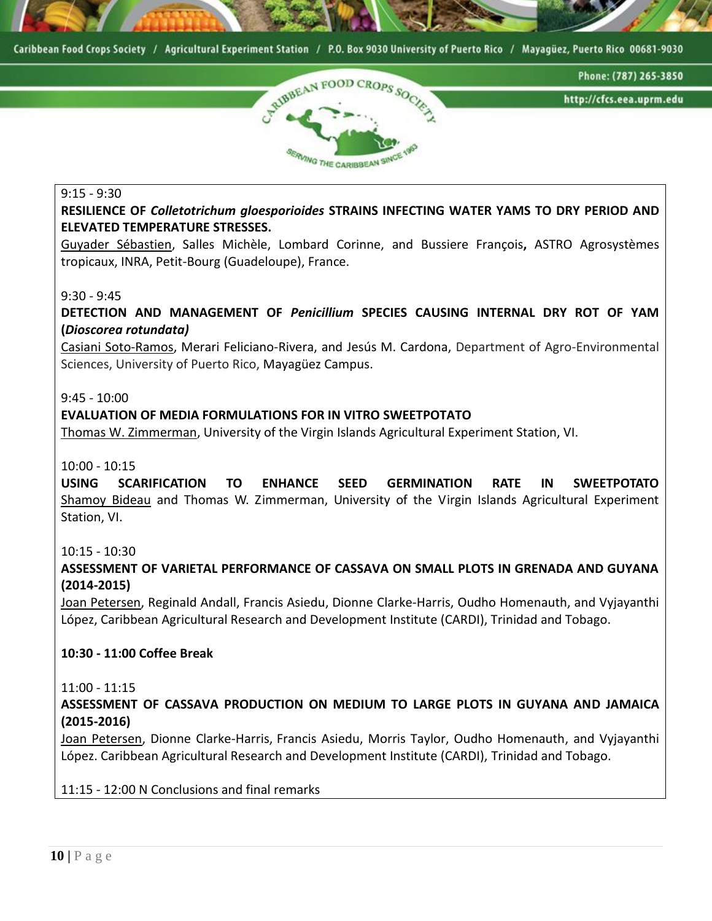



#### 9:15 - 9:30

**RESILIENCE OF** *Colletotrichum gloesporioides* **STRAINS INFECTING WATER YAMS TO DRY PERIOD AND ELEVATED TEMPERATURE STRESSES.**

Guyader Sébastien, Salles Michèle, Lombard Corinne, and Bussiere François**,** ASTRO Agrosystèmes tropicaux, INRA, Petit-Bourg (Guadeloupe), France.

#### 9:30 - 9:45

**DETECTION AND MANAGEMENT OF** *Penicillium* **SPECIES CAUSING INTERNAL DRY ROT OF YAM (***Dioscorea rotundata)*

Casiani Soto-Ramos, Merari Feliciano-Rivera, and Jesús M. Cardona, Department of Agro-Environmental Sciences, University of Puerto Rico, Mayagüez Campus.

#### 9:45 - 10:00

#### **EVALUATION OF MEDIA FORMULATIONS FOR IN VITRO SWEETPOTATO**

Thomas W. Zimmerman, University of the Virgin Islands Agricultural Experiment Station, VI.

#### 10:00 - 10:15

**USING SCARIFICATION TO ENHANCE SEED GERMINATION RATE IN SWEETPOTATO**  Shamoy Bideau and Thomas W. Zimmerman, University of the Virgin Islands Agricultural Experiment Station, VI.

#### 10:15 - 10:30

**ASSESSMENT OF VARIETAL PERFORMANCE OF CASSAVA ON SMALL PLOTS IN GRENADA AND GUYANA (2014-2015)**

Joan Petersen, Reginald Andall, Francis Asiedu, Dionne Clarke-Harris, Oudho Homenauth, and Vyjayanthi López, Caribbean Agricultural Research and Development Institute (CARDI), Trinidad and Tobago.

#### **10:30 - 11:00 Coffee Break**

#### 11:00 - 11:15

**ASSESSMENT OF CASSAVA PRODUCTION ON MEDIUM TO LARGE PLOTS IN GUYANA AND JAMAICA (2015-2016)**

Joan Petersen, Dionne Clarke-Harris, Francis Asiedu, Morris Taylor, Oudho Homenauth, and Vyjayanthi López. Caribbean Agricultural Research and Development Institute (CARDI), Trinidad and Tobago.

#### 11:15 - 12:00 N Conclusions and final remarks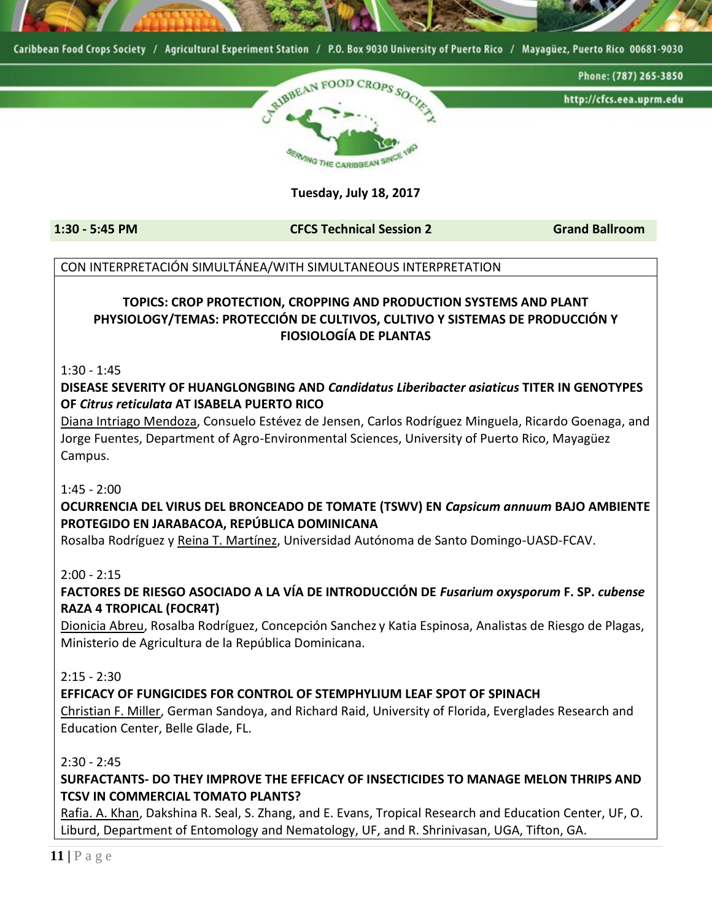

#### **Tuesday, July 18, 2017**

**1:30 - 5:45 PM CFCS Technical Session 2 Grand Ballroom**

#### CON INTERPRETACIÓN SIMULTÁNEA/WITH SIMULTANEOUS INTERPRETATION

### **TOPICS: CROP PROTECTION, CROPPING AND PRODUCTION SYSTEMS AND PLANT PHYSIOLOGY/TEMAS: PROTECCIÓN DE CULTIVOS, CULTIVO Y SISTEMAS DE PRODUCCIÓN Y FIOSIOLOGÍA DE PLANTAS**

1:30 - 1:45

**DISEASE SEVERITY OF HUANGLONGBING AND** *Candidatus Liberibacter asiaticus* **TITER IN GENOTYPES OF** *Citrus reticulata* **AT ISABELA PUERTO RICO**

Diana Intriago Mendoza, Consuelo Estévez de Jensen, Carlos Rodríguez Minguela, Ricardo Goenaga, and Jorge Fuentes, Department of Agro-Environmental Sciences, University of Puerto Rico, Mayagüez Campus.

 $1:45 - 2:00$ 

### **OCURRENCIA DEL VIRUS DEL BRONCEADO DE TOMATE (TSWV) EN** *Capsicum annuum* **BAJO AMBIENTE PROTEGIDO EN JARABACOA, REPÚBLICA DOMINICANA**

Rosalba Rodríguez y Reina T. Martínez, Universidad Autónoma de Santo Domingo-UASD-FCAV.

#### $2:00 - 2:15$

**FACTORES DE RIESGO ASOCIADO A LA VÍA DE INTRODUCCIÓN DE** *Fusarium oxysporum* **F. SP.** *cubense* **RAZA 4 TROPICAL (FOCR4T)**

Dionicia Abreu, Rosalba Rodríguez, Concepción Sanchez y Katia Espinosa, Analistas de Riesgo de Plagas, Ministerio de Agricultura de la República Dominicana.

#### $2:15 - 2:30$

#### **EFFICACY OF FUNGICIDES FOR CONTROL OF STEMPHYLIUM LEAF SPOT OF SPINACH**

Christian F. Miller, German Sandoya, and Richard Raid, University of Florida, Everglades Research and Education Center, Belle Glade, FL.

2:30 - 2:45

**SURFACTANTS- DO THEY IMPROVE THE EFFICACY OF INSECTICIDES TO MANAGE MELON THRIPS AND TCSV IN COMMERCIAL TOMATO PLANTS?**

Rafia. A. Khan, Dakshina R. Seal, S. Zhang, and E. Evans, Tropical Research and Education Center, UF, O. Liburd, Department of Entomology and Nematology, UF, and R. Shrinivasan, UGA, Tifton, GA.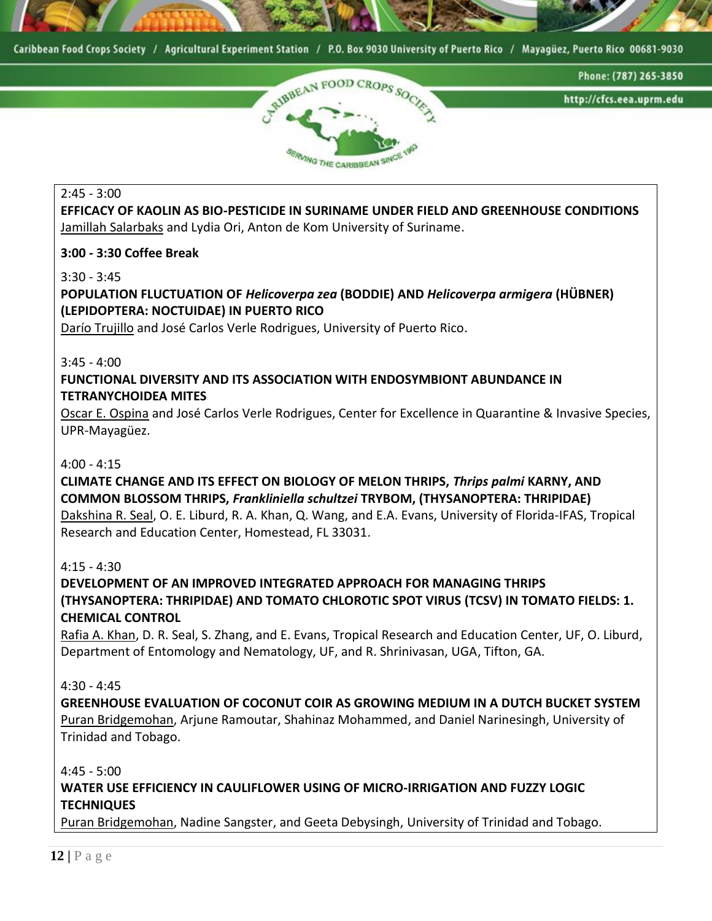



#### 2:45 - 3:00

**EFFICACY OF KAOLIN AS BIO-PESTICIDE IN SURINAME UNDER FIELD AND GREENHOUSE CONDITIONS** Jamillah Salarbaks and Lydia Ori, Anton de Kom University of Suriname.

#### **3:00 - 3:30 Coffee Break**

#### 3:30 - 3:45

**POPULATION FLUCTUATION OF** *Helicoverpa zea* **(BODDIE) AND** *Helicoverpa armigera* **(HÜBNER) (LEPIDOPTERA: NOCTUIDAE) IN PUERTO RICO**

Darío Trujillo and José Carlos Verle Rodrigues, University of Puerto Rico.

#### $3:45 - 4:00$

### **FUNCTIONAL DIVERSITY AND ITS ASSOCIATION WITH ENDOSYMBIONT ABUNDANCE IN TETRANYCHOIDEA MITES**

Oscar E. Ospina and José Carlos Verle Rodrigues, Center for Excellence in Quarantine & Invasive Species, UPR-Mayagüez.

#### 4:00 - 4:15

## **CLIMATE CHANGE AND ITS EFFECT ON BIOLOGY OF MELON THRIPS,** *Thrips palmi* **KARNY, AND COMMON BLOSSOM THRIPS,** *Frankliniella schultzei* **TRYBOM, (THYSANOPTERA: THRIPIDAE)**

Dakshina R. Seal, O. E. Liburd, R. A. Khan, Q. Wang, and E.A. Evans, University of Florida-IFAS, Tropical Research and Education Center, Homestead, FL 33031.

#### 4:15 - 4:30

**DEVELOPMENT OF AN IMPROVED INTEGRATED APPROACH FOR MANAGING THRIPS (THYSANOPTERA: THRIPIDAE) AND TOMATO CHLOROTIC SPOT VIRUS (TCSV) IN TOMATO FIELDS: 1. CHEMICAL CONTROL**

Rafia A. Khan, D. R. Seal, S. Zhang, and E. Evans, Tropical Research and Education Center, UF, O. Liburd, Department of Entomology and Nematology, UF, and R. Shrinivasan, UGA, Tifton, GA.

#### 4:30 - 4:45

**GREENHOUSE EVALUATION OF COCONUT COIR AS GROWING MEDIUM IN A DUTCH BUCKET SYSTEM** Puran Bridgemohan, Arjune Ramoutar, Shahinaz Mohammed, and Daniel Narinesingh, University of Trinidad and Tobago.

#### $4:45 - 5:00$

#### **WATER USE EFFICIENCY IN CAULIFLOWER USING OF MICRO-IRRIGATION AND FUZZY LOGIC TECHNIQUES**

Puran Bridgemohan, Nadine Sangster, and Geeta Debysingh, University of Trinidad and Tobago.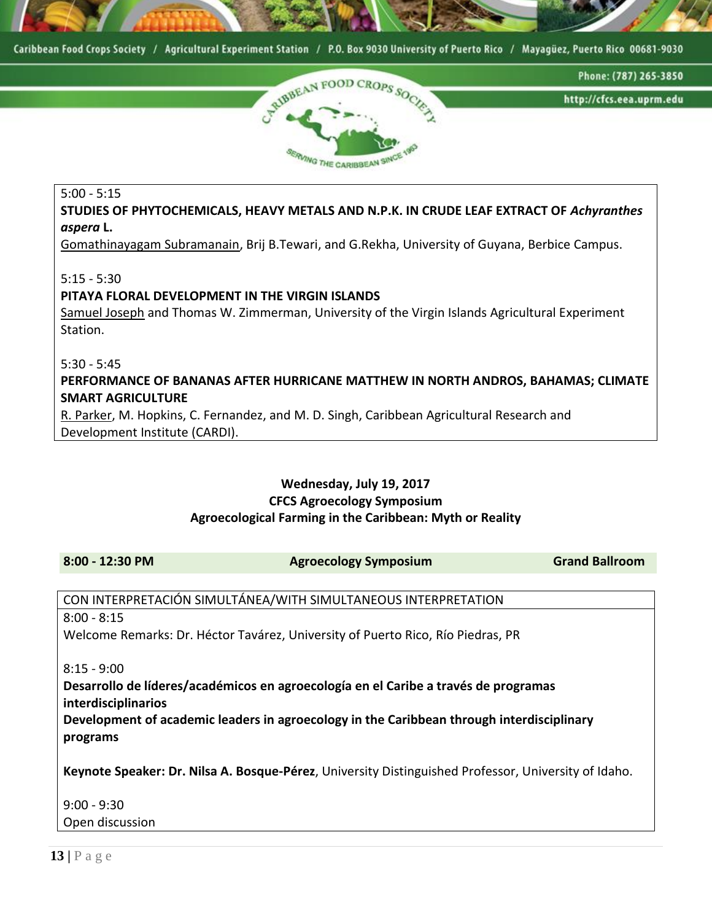



#### 5:00 - 5:15

**STUDIES OF PHYTOCHEMICALS, HEAVY METALS AND N.P.K. IN CRUDE LEAF EXTRACT OF** *Achyranthes aspera* **L.**

Gomathinayagam Subramanain, Brij B.Tewari, and G.Rekha, University of Guyana, Berbice Campus.

5:15 - 5:30

#### **PITAYA FLORAL DEVELOPMENT IN THE VIRGIN ISLANDS**

Samuel Joseph and Thomas W. Zimmerman, University of the Virgin Islands Agricultural Experiment Station.

5:30 - 5:45

**PERFORMANCE OF BANANAS AFTER HURRICANE MATTHEW IN NORTH ANDROS, BAHAMAS; CLIMATE SMART AGRICULTURE**

R. Parker, M. Hopkins, C. Fernandez, and M. D. Singh, Caribbean Agricultural Research and Development Institute (CARDI).

### **Wednesday, July 19, 2017 CFCS Agroecology Symposium Agroecological Farming in the Caribbean: Myth or Reality**

**8:00 - 12:30 PM Agroecology Symposium Grand Ballroom**

CON INTERPRETACIÓN SIMULTÁNEA/WITH SIMULTANEOUS INTERPRETATION 8:00 - 8:15 Welcome Remarks: Dr. Héctor Tavárez, University of Puerto Rico, Río Piedras, PR

8:15 - 9:00

**Desarrollo de líderes/académicos en agroecología en el Caribe a través de programas interdisciplinarios**

**Development of academic leaders in agroecology in the Caribbean through interdisciplinary programs**

**Keynote Speaker: Dr. Nilsa A. Bosque-Pérez**, University Distinguished Professor, University of Idaho.

9:00 - 9:30 Open discussion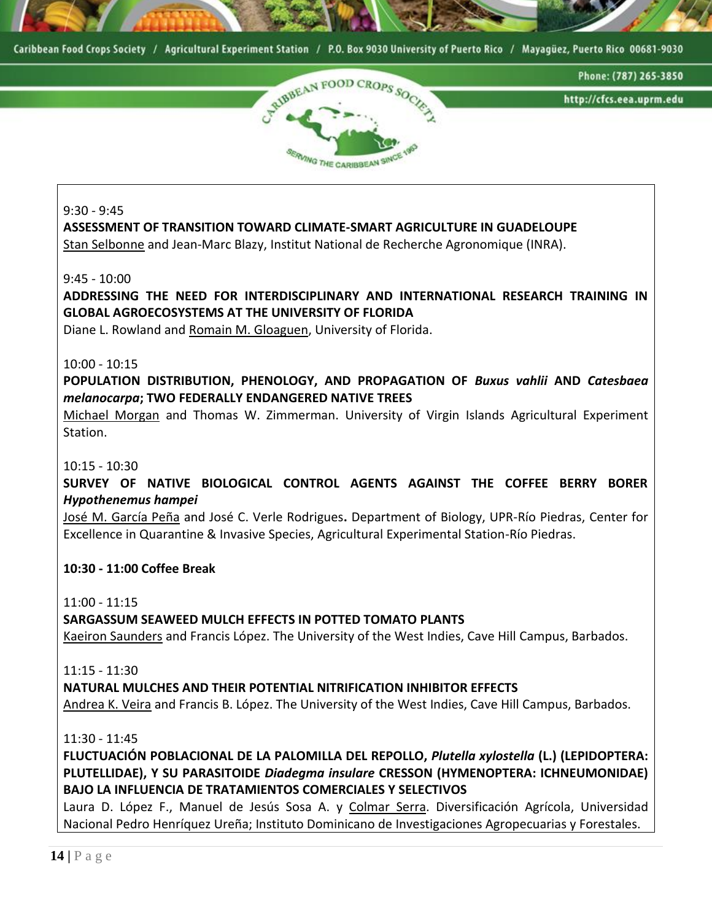



9:30 - 9:45

**ASSESSMENT OF TRANSITION TOWARD CLIMATE-SMART AGRICULTURE IN GUADELOUPE** 

Stan Selbonne and Jean-Marc Blazy, Institut National de Recherche Agronomique (INRA).

9:45 - 10:00

**ADDRESSING THE NEED FOR INTERDISCIPLINARY AND INTERNATIONAL RESEARCH TRAINING IN GLOBAL AGROECOSYSTEMS AT THE UNIVERSITY OF FLORIDA**

Diane L. Rowland and Romain M. Gloaguen, University of Florida.

#### 10:00 - 10:15

**POPULATION DISTRIBUTION, PHENOLOGY, AND PROPAGATION OF** *Buxus vahlii* **AND** *Catesbaea melanocarpa***; TWO FEDERALLY ENDANGERED NATIVE TREES**

Michael Morgan and Thomas W. Zimmerman. University of Virgin Islands Agricultural Experiment Station.

#### 10:15 - 10:30

**SURVEY OF NATIVE BIOLOGICAL CONTROL AGENTS AGAINST THE COFFEE BERRY BORER**  *Hypothenemus hampei*

José M. García Peña and José C. Verle Rodrigues**.** Department of Biology, UPR-Río Piedras, Center for Excellence in Quarantine & Invasive Species, Agricultural Experimental Station-Río Piedras.

#### **10:30 - 11:00 Coffee Break**

11:00 - 11:15

#### **SARGASSUM SEAWEED MULCH EFFECTS IN POTTED TOMATO PLANTS**

Kaeiron Saunders and Francis López. The University of the West Indies, Cave Hill Campus, Barbados.

11:15 - 11:30

**NATURAL MULCHES AND THEIR POTENTIAL NITRIFICATION INHIBITOR EFFECTS**

Andrea K. Veira and Francis B. López. The University of the West Indies, Cave Hill Campus, Barbados.

11:30 - 11:45

**FLUCTUACIÓN POBLACIONAL DE LA PALOMILLA DEL REPOLLO,** *Plutella xylostella* **(L.) (LEPIDOPTERA: PLUTELLIDAE), Y SU PARASITOIDE** *Diadegma insulare* **CRESSON (HYMENOPTERA: ICHNEUMONIDAE) BAJO LA INFLUENCIA DE TRATAMIENTOS COMERCIALES Y SELECTIVOS**

Laura D. López F., Manuel de Jesús Sosa A. y Colmar Serra. Diversificación Agrícola, Universidad Nacional Pedro Henríquez Ureña; Instituto Dominicano de Investigaciones Agropecuarias y Forestales.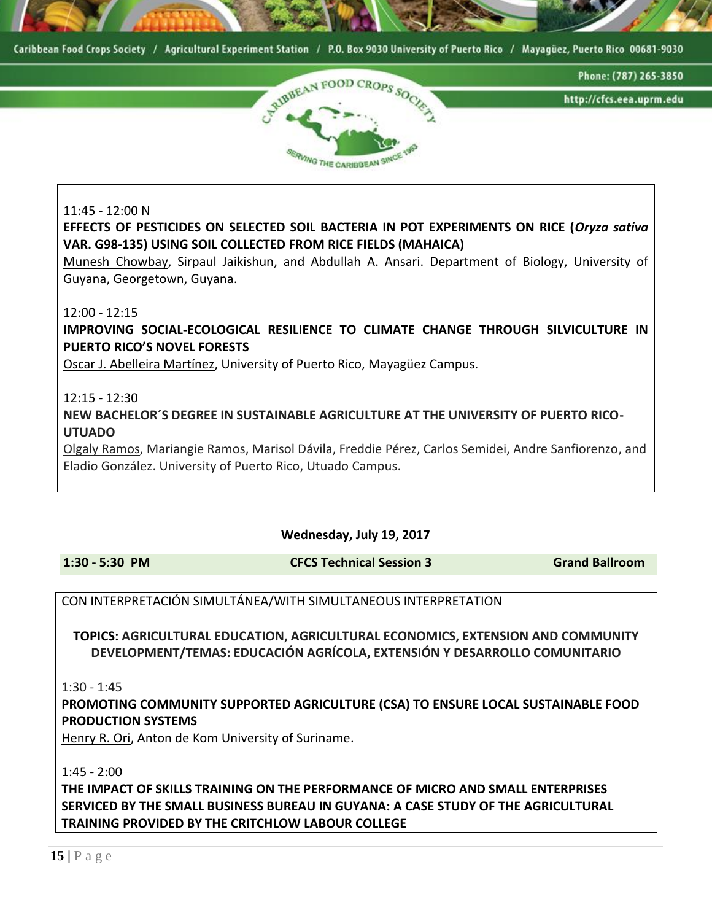



#### 11:45 - 12:00 N

**EFFECTS OF PESTICIDES ON SELECTED SOIL BACTERIA IN POT EXPERIMENTS ON RICE (***Oryza sativa* **VAR. G98-135) USING SOIL COLLECTED FROM RICE FIELDS (MAHAICA)** 

Munesh Chowbay, Sirpaul Jaikishun, and Abdullah A. Ansari. Department of Biology, University of Guyana, Georgetown, Guyana.

#### 12:00 - 12:15

**IMPROVING SOCIAL-ECOLOGICAL RESILIENCE TO CLIMATE CHANGE THROUGH SILVICULTURE IN PUERTO RICO'S NOVEL FORESTS**

Oscar J. Abelleira Martínez, University of Puerto Rico, Mayagüez Campus.

#### 12:15 - 12:30

**NEW BACHELOR´S DEGREE IN SUSTAINABLE AGRICULTURE AT THE UNIVERSITY OF PUERTO RICO-UTUADO**

Olgaly Ramos, Mariangie Ramos, Marisol Dávila, Freddie Pérez, Carlos Semidei, Andre Sanfiorenzo, and Eladio González. University of Puerto Rico, Utuado Campus.

#### **Wednesday, July 19, 2017**

**1:30 - 5:30 PM CFCS Technical Session 3 Grand Ballroom**

#### CON INTERPRETACIÓN SIMULTÁNEA/WITH SIMULTANEOUS INTERPRETATION

**TOPICS: AGRICULTURAL EDUCATION, AGRICULTURAL ECONOMICS, EXTENSION AND COMMUNITY DEVELOPMENT/TEMAS: EDUCACIÓN AGRÍCOLA, EXTENSIÓN Y DESARROLLO COMUNITARIO**

1:30 - 1:45

**PROMOTING COMMUNITY SUPPORTED AGRICULTURE (CSA) TO ENSURE LOCAL SUSTAINABLE FOOD PRODUCTION SYSTEMS** 

Henry R. Ori, Anton de Kom University of Suriname.

1:45 - 2:00

**THE IMPACT OF SKILLS TRAINING ON THE PERFORMANCE OF MICRO AND SMALL ENTERPRISES SERVICED BY THE SMALL BUSINESS BUREAU IN GUYANA: A CASE STUDY OF THE AGRICULTURAL TRAINING PROVIDED BY THE CRITCHLOW LABOUR COLLEGE**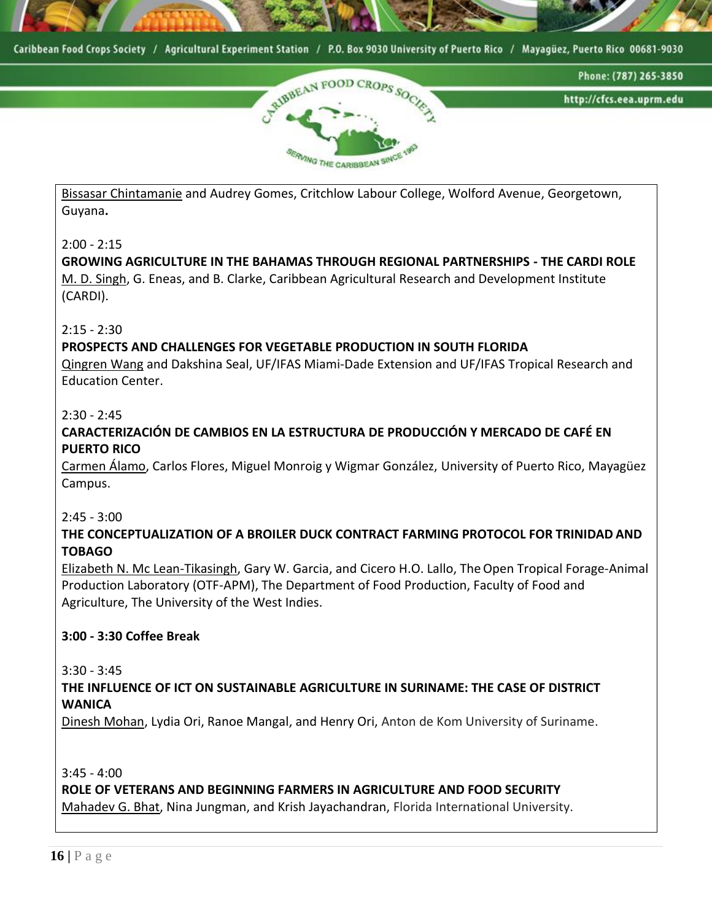



Bissasar Chintamanie and Audrey Gomes, Critchlow Labour College, Wolford Avenue, Georgetown, Guyana**.**

#### 2:00 - 2:15

**GROWING AGRICULTURE IN THE BAHAMAS THROUGH REGIONAL PARTNERSHIPS - THE CARDI ROLE** M. D. Singh, G. Eneas, and B. Clarke, Caribbean Agricultural Research and Development Institute (CARDI).

#### $2:15 - 2:30$

#### **PROSPECTS AND CHALLENGES FOR VEGETABLE PRODUCTION IN SOUTH FLORIDA**

Qingren Wang and Dakshina Seal, [UF/IFAS Miami-Dade Extension and UF/IFAS Tropical Research and](mailto:qrwang@ufl.edu)  [Education Center.](mailto:qrwang@ufl.edu)

#### 2:30 - 2:45

### **CARACTERIZACIÓN DE CAMBIOS EN LA ESTRUCTURA DE PRODUCCIÓN Y MERCADO DE CAFÉ EN PUERTO RICO**

Carmen Álamo, Carlos Flores, Miguel Monroig y Wigmar González, University of Puerto Rico, Mayagüez Campus.

#### 2:45 - 3:00

#### **THE CONCEPTUALIZATION OF A BROILER DUCK CONTRACT FARMING PROTOCOL FOR TRINIDAD AND TOBAGO**

Elizabeth N. Mc Lean-Tikasingh, Gary W. Garcia, and Cicero H.O. Lallo, The Open Tropical Forage-Animal Production Laboratory (OTF-APM), The Department of Food Production, Faculty of Food and Agriculture, The University of the West Indies.

#### **3:00 - 3:30 Coffee Break**

#### 3:30 - 3:45

#### **THE INFLUENCE OF ICT ON SUSTAINABLE AGRICULTURE IN SURINAME: THE CASE OF DISTRICT WANICA**

Dinesh Mohan, Lydia Ori, Ranoe Mangal, and Henry Ori, Anton de Kom University of Suriname.

3:45 - 4:00

**ROLE OF VETERANS AND BEGINNING FARMERS IN AGRICULTURE AND FOOD SECURITY** Mahadev G. Bhat, Nina Jungman, and Krish Jayachandran, Florida International University.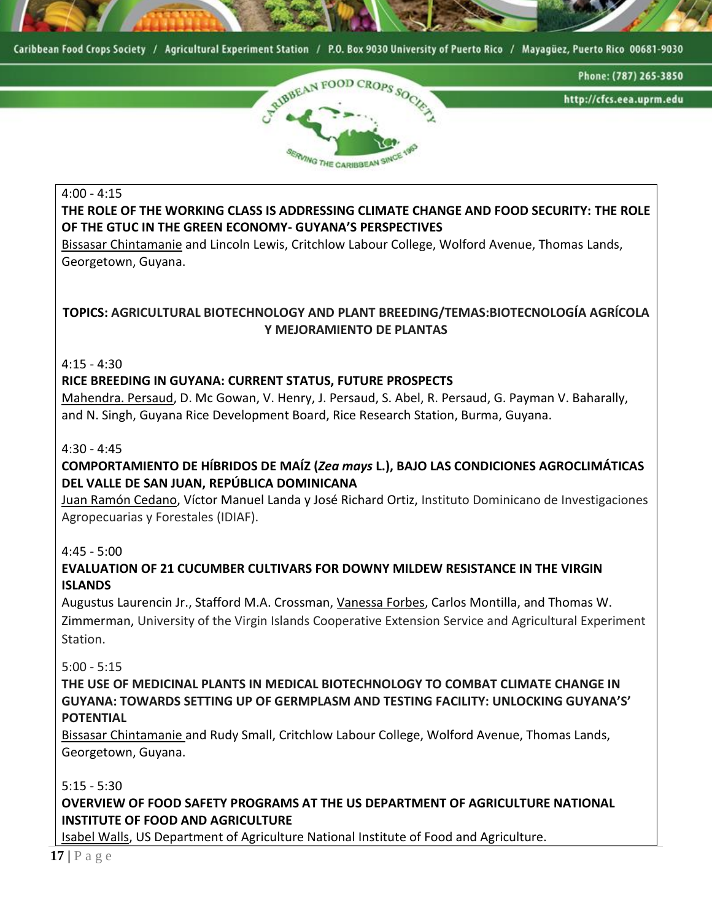



#### 4:00 - 4:15

### **THE ROLE OF THE WORKING CLASS IS ADDRESSING CLIMATE CHANGE AND FOOD SECURITY: THE ROLE OF THE GTUC IN THE GREEN ECONOMY- GUYANA'S PERSPECTIVES**

Bissasar Chintamanie and Lincoln Lewis, Critchlow Labour College, Wolford Avenue, Thomas Lands, Georgetown, Guyana.

### **TOPICS: AGRICULTURAL BIOTECHNOLOGY AND PLANT BREEDING/TEMAS:BIOTECNOLOGÍA AGRÍCOLA Y MEJORAMIENTO DE PLANTAS**

4:15 - 4:30

#### **RICE BREEDING IN GUYANA: CURRENT STATUS, FUTURE PROSPECTS**

Mahendra. Persaud, D. Mc Gowan, V. Henry, J. Persaud, S. Abel, R. Persaud, G. Payman V. Baharally, and N. Singh, Guyana Rice Development Board, Rice Research Station, Burma, Guyana.

#### 4:30 - 4:45

### **COMPORTAMIENTO DE HÍBRIDOS DE MAÍZ (***Zea mays* **L.), BAJO LAS CONDICIONES AGROCLIMÁTICAS DEL VALLE DE SAN JUAN, REPÚBLICA DOMINICANA**

Juan Ramón Cedano, Víctor Manuel Landa y José Richard Ortiz, Instituto Dominicano de Investigaciones Agropecuarias y Forestales (IDIAF).

4:45 - 5:00

#### **EVALUATION OF 21 CUCUMBER CULTIVARS FOR DOWNY MILDEW RESISTANCE IN THE VIRGIN ISLANDS**

Augustus Laurencin Jr., Stafford M.A. Crossman, Vanessa Forbes, Carlos Montilla, and Thomas W. Zimmerman, University of the Virgin Islands Cooperative Extension Service and Agricultural Experiment Station.

5:00 - 5:15

**THE USE OF MEDICINAL PLANTS IN MEDICAL BIOTECHNOLOGY TO COMBAT CLIMATE CHANGE IN GUYANA: TOWARDS SETTING UP OF GERMPLASM AND TESTING FACILITY: UNLOCKING GUYANA'S' POTENTIAL**

Bissasar Chintamanie and Rudy Small, Critchlow Labour College, Wolford Avenue, Thomas Lands, Georgetown, Guyana.

5:15 - 5:30

### **OVERVIEW OF FOOD SAFETY PROGRAMS AT THE US DEPARTMENT OF AGRICULTURE NATIONAL INSTITUTE OF FOOD AND AGRICULTURE**

Isabel Walls, US Department of Agriculture National Institute of Food and Agriculture.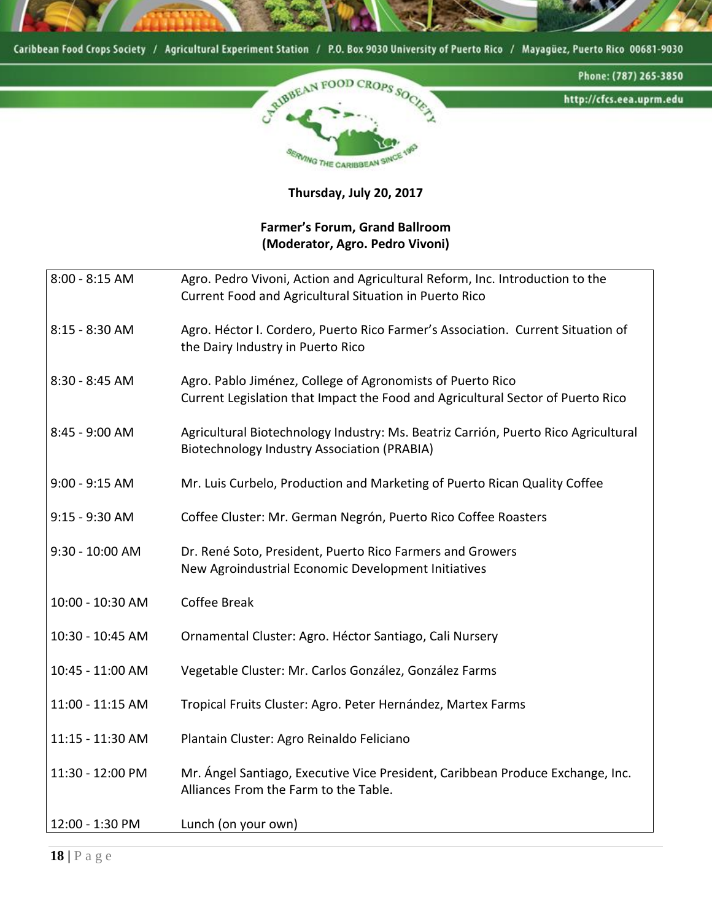

**Thursday, July 20, 2017**

### **Farmer's Forum, Grand Ballroom (Moderator, Agro. Pedro Vivoni)**

| 8:00 - 8:15 AM   | Agro. Pedro Vivoni, Action and Agricultural Reform, Inc. Introduction to the<br>Current Food and Agricultural Situation in Puerto Rico        |
|------------------|-----------------------------------------------------------------------------------------------------------------------------------------------|
| 8:15 - 8:30 AM   | Agro. Héctor I. Cordero, Puerto Rico Farmer's Association. Current Situation of<br>the Dairy Industry in Puerto Rico                          |
| 8:30 - 8:45 AM   | Agro. Pablo Jiménez, College of Agronomists of Puerto Rico<br>Current Legislation that Impact the Food and Agricultural Sector of Puerto Rico |
| 8:45 - 9:00 AM   | Agricultural Biotechnology Industry: Ms. Beatriz Carrión, Puerto Rico Agricultural<br><b>Biotechnology Industry Association (PRABIA)</b>      |
| $9:00 - 9:15$ AM | Mr. Luis Curbelo, Production and Marketing of Puerto Rican Quality Coffee                                                                     |
| 9:15 - 9:30 AM   | Coffee Cluster: Mr. German Negrón, Puerto Rico Coffee Roasters                                                                                |
| 9:30 - 10:00 AM  | Dr. René Soto, President, Puerto Rico Farmers and Growers<br>New Agroindustrial Economic Development Initiatives                              |
| 10:00 - 10:30 AM | <b>Coffee Break</b>                                                                                                                           |
| 10:30 - 10:45 AM | Ornamental Cluster: Agro. Héctor Santiago, Cali Nursery                                                                                       |
| 10:45 - 11:00 AM | Vegetable Cluster: Mr. Carlos González, González Farms                                                                                        |
| 11:00 - 11:15 AM | Tropical Fruits Cluster: Agro. Peter Hernández, Martex Farms                                                                                  |
| 11:15 - 11:30 AM | Plantain Cluster: Agro Reinaldo Feliciano                                                                                                     |
| 11:30 - 12:00 PM | Mr. Ángel Santiago, Executive Vice President, Caribbean Produce Exchange, Inc.<br>Alliances From the Farm to the Table.                       |
| 12:00 - 1:30 PM  | Lunch (on your own)                                                                                                                           |

**18 |** P a g e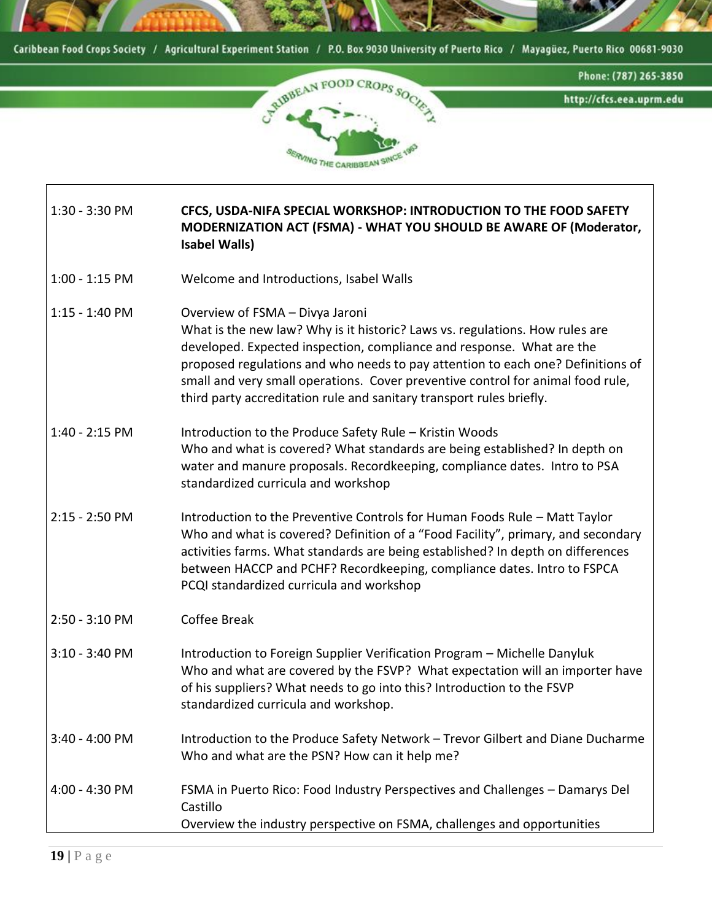



1:30 - 3:30 PM **CFCS, USDA-NIFA SPECIAL WORKSHOP: INTRODUCTION TO THE FOOD SAFETY MODERNIZATION ACT (FSMA) - WHAT YOU SHOULD BE AWARE OF (Moderator, Isabel Walls)** 

- 1:00 1:15 PM Welcome and Introductions, Isabel Walls
- 1:15 1:40 PM Overview of FSMA – Divya Jaroni What is the new law? Why is it historic? Laws vs. regulations. How rules are developed. Expected inspection, compliance and response. What are the proposed regulations and who needs to pay attention to each one? Definitions of small and very small operations. Cover preventive control for animal food rule, third party accreditation rule and sanitary transport rules briefly.
- 1:40 2:15 PM Introduction to the Produce Safety Rule – Kristin Woods Who and what is covered? What standards are being established? In depth on water and manure proposals. Recordkeeping, compliance dates. Intro to PSA standardized curricula and workshop
- 2:15 2:50 PM Introduction to the Preventive Controls for Human Foods Rule – Matt Taylor Who and what is covered? Definition of a "Food Facility", primary, and secondary activities farms. What standards are being established? In depth on differences between HACCP and PCHF? Recordkeeping, compliance dates. Intro to FSPCA PCQI standardized curricula and workshop
- 2:50 3:10 PM Coffee Break
- 3:10 3:40 PM Introduction to Foreign Supplier Verification Program – Michelle Danyluk Who and what are covered by the FSVP? What expectation will an importer have of his suppliers? What needs to go into this? Introduction to the FSVP standardized curricula and workshop.
- 3:40 4:00 PM Introduction to the Produce Safety Network – Trevor Gilbert and Diane Ducharme Who and what are the PSN? How can it help me?
- 4:00 4:30 PM FSMA in Puerto Rico: Food Industry Perspectives and Challenges – Damarys Del Castillo Overview the industry perspective on FSMA, challenges and opportunities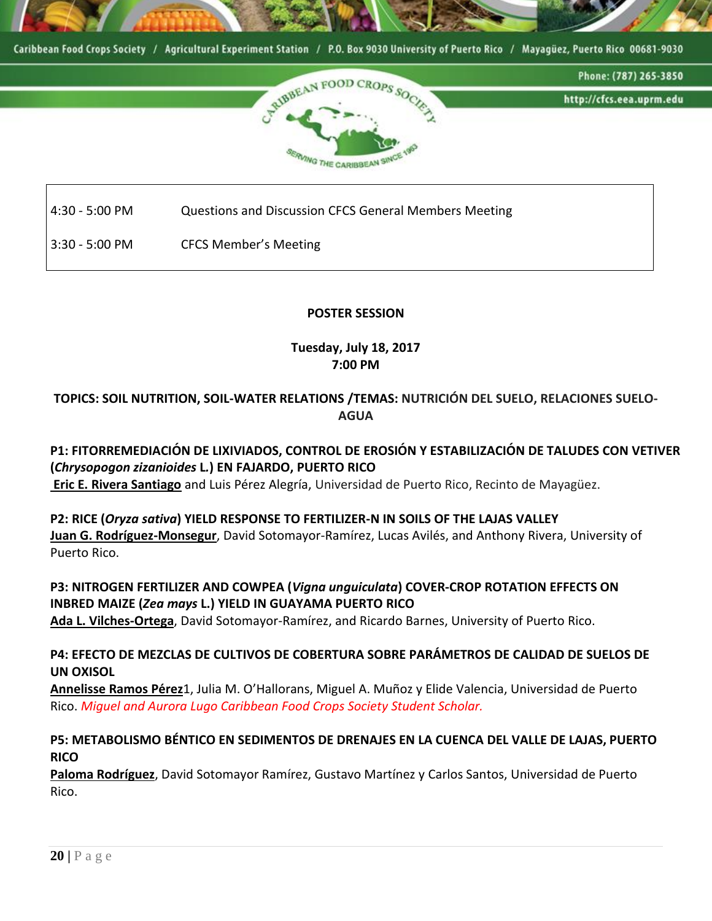



4:30 - 5:00 PM Questions and Discussion CFCS General Members Meeting

3:30 - 5:00 PM CFCS Member's Meeting

#### **POSTER SESSION**

### **Tuesday, July 18, 2017 7:00 PM**

### **TOPICS: SOIL NUTRITION, SOIL-WATER RELATIONS /TEMAS: NUTRICIÓN DEL SUELO, RELACIONES SUELO-AGUA**

### **P1: FITORREMEDIACIÓN DE LIXIVIADOS, CONTROL DE EROSIÓN Y ESTABILIZACIÓN DE TALUDES CON VETIVER (***Chrysopogon zizanioides* **L***.***) EN FAJARDO, PUERTO RICO**

**Eric E. Rivera Santiago** and Luis Pérez Alegría, Universidad de Puerto Rico, Recinto de Mayagüez.

### **P2: RICE (***Oryza sativa***) YIELD RESPONSE TO FERTILIZER-N IN SOILS OF THE LAJAS VALLEY Juan G. Rodríguez-Monsegur**, David Sotomayor-Ramírez, Lucas Avilés, and Anthony Rivera, University of Puerto Rico.

## **P3: NITROGEN FERTILIZER AND COWPEA (***Vigna unguiculata***) COVER-CROP ROTATION EFFECTS ON INBRED MAIZE (***Zea mays* **L.) YIELD IN GUAYAMA PUERTO RICO**

**Ada L. Vilches-Ortega**, David Sotomayor-Ramírez, and Ricardo Barnes, University of Puerto Rico.

### **P4: EFECTO DE MEZCLAS DE CULTIVOS DE COBERTURA SOBRE PARÁMETROS DE CALIDAD DE SUELOS DE UN OXISOL**

**Annelisse Ramos Pérez**1, Julia M. O'Hallorans, Miguel A. Muñoz y Elide Valencia, Universidad de Puerto Rico. *Miguel and Aurora Lugo Caribbean Food Crops Society Student Scholar.*

### **P5: METABOLISMO BÉNTICO EN SEDIMENTOS DE DRENAJES EN LA CUENCA DEL VALLE DE LAJAS, PUERTO RICO**

**Paloma Rodríguez**, David Sotomayor Ramírez, Gustavo Martínez y Carlos Santos, Universidad de Puerto Rico.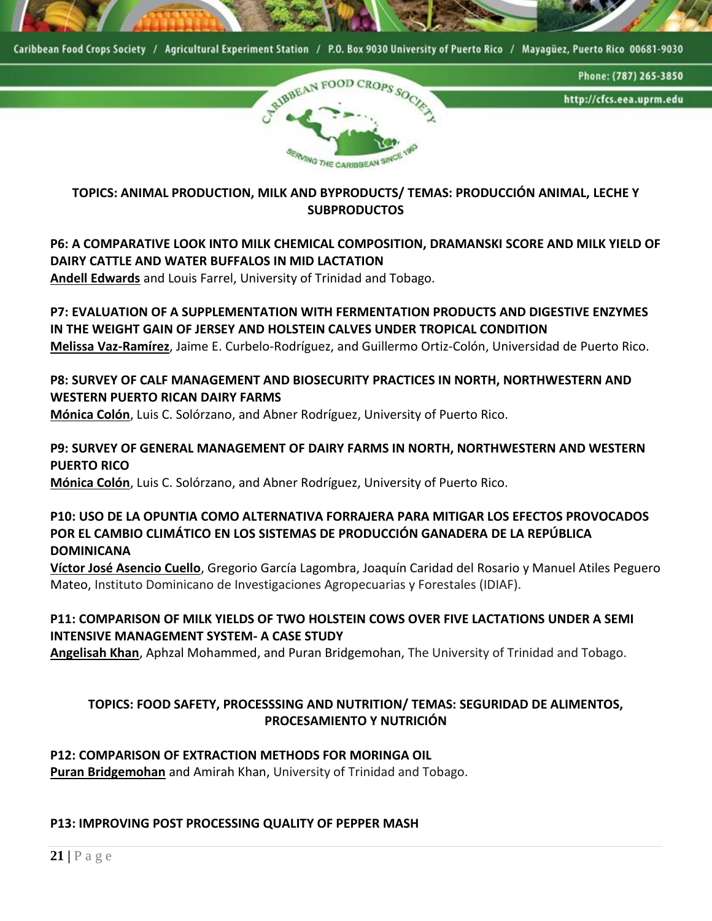



**TOPICS: ANIMAL PRODUCTION, MILK AND BYPRODUCTS/ TEMAS: PRODUCCIÓN ANIMAL, LECHE Y SUBPRODUCTOS**

## **P6: A COMPARATIVE LOOK INTO MILK CHEMICAL COMPOSITION, DRAMANSKI SCORE AND MILK YIELD OF DAIRY CATTLE AND WATER BUFFALOS IN MID LACTATION**

**Andell Edwards** and Louis Farrel, University of Trinidad and Tobago.

### **P7: EVALUATION OF A SUPPLEMENTATION WITH FERMENTATION PRODUCTS AND DIGESTIVE ENZYMES IN THE WEIGHT GAIN OF JERSEY AND HOLSTEIN CALVES UNDER TROPICAL CONDITION Melissa Vaz-Ramírez**, Jaime E. Curbelo-Rodríguez, and Guillermo Ortiz-Colón, Universidad de Puerto Rico.

### P8: SURVEY OF CALF MANAGEMENT AND BIOSECURITY PRACTICES IN NORTH, NORTHWESTERN AND **WESTERN PUERTO RICAN DAIRY FARMS**

**Mónica Colón**, Luis C. Solórzano, and Abner Rodríguez, University of Puerto Rico.

### **P9: SURVEY OF GENERAL MANAGEMENT OF DAIRY FARMS IN NORTH, NORTHWESTERN AND WESTERN PUERTO RICO**

**Mónica Colón**, Luis C. Solórzano, and Abner Rodríguez, University of Puerto Rico.

### **P10: USO DE LA OPUNTIA COMO ALTERNATIVA FORRAJERA PARA MITIGAR LOS EFECTOS PROVOCADOS POR EL CAMBIO CLIMÁTICO EN LOS SISTEMAS DE PRODUCCIÓN GANADERA DE LA REPÚBLICA DOMINICANA**

**Víctor José Asencio Cuello**, Gregorio García Lagombra, Joaquín Caridad del Rosario y Manuel Atiles Peguero Mateo, Instituto Dominicano de Investigaciones Agropecuarias y Forestales (IDIAF).

### **P11: COMPARISON OF MILK YIELDS OF TWO HOLSTEIN COWS OVER FIVE LACTATIONS UNDER A SEMI INTENSIVE MANAGEMENT SYSTEM- A CASE STUDY**

**Angelisah Khan**, Aphzal Mohammed, and Puran Bridgemohan, The University of Trinidad and Tobago.

### **TOPICS: FOOD SAFETY, PROCESSSING AND NUTRITION/ TEMAS: SEGURIDAD DE ALIMENTOS, PROCESAMIENTO Y NUTRICIÓN**

### **P12: COMPARISON OF EXTRACTION METHODS FOR MORINGA OIL**

**Puran Bridgemohan** and Amirah Khan, University of Trinidad and Tobago.

### **P13: IMPROVING POST PROCESSING QUALITY OF PEPPER MASH**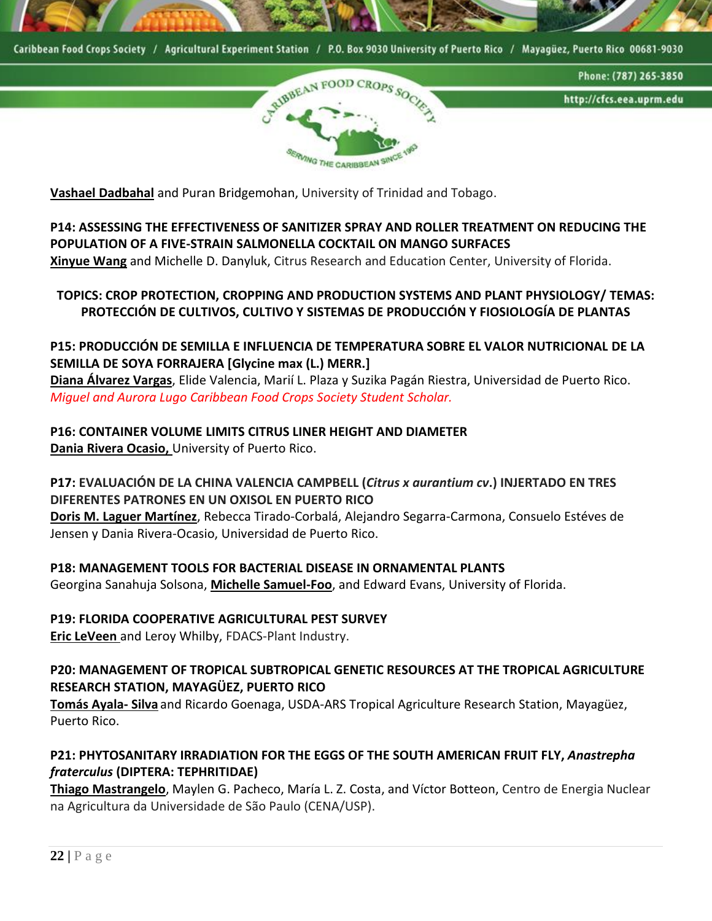

CALIBBEAN FOO Phone: (787) 265-3850 http://cfcs.eea.uprm.edu **WING THE CARIBBEAN ST** 

**Vashael Dadbahal** and Puran Bridgemohan, University of Trinidad and Tobago.

### **P14: ASSESSING THE EFFECTIVENESS OF SANITIZER SPRAY AND ROLLER TREATMENT ON REDUCING THE POPULATION OF A FIVE-STRAIN SALMONELLA COCKTAIL ON MANGO SURFACES**

**Xinyue Wang** and Michelle D. Danyluk, Citrus Research and Education Center, University of Florida.

### **TOPICS: CROP PROTECTION, CROPPING AND PRODUCTION SYSTEMS AND PLANT PHYSIOLOGY/ TEMAS: PROTECCIÓN DE CULTIVOS, CULTIVO Y SISTEMAS DE PRODUCCIÓN Y FIOSIOLOGÍA DE PLANTAS**

### **P15: PRODUCCIÓN DE SEMILLA E INFLUENCIA DE TEMPERATURA SOBRE EL VALOR NUTRICIONAL DE LA SEMILLA DE SOYA FORRAJERA [Glycine max (L.) MERR.]**

**Diana Álvarez Vargas**, Elide Valencia, Marií L. Plaza y Suzika Pagán Riestra, Universidad de Puerto Rico. *Miguel and Aurora Lugo Caribbean Food Crops Society Student Scholar.*

### **P16: CONTAINER VOLUME LIMITS CITRUS LINER HEIGHT AND DIAMETER**

**Dania Rivera Ocasio,** University of Puerto Rico.

### **P17: EVALUACIÓN DE LA CHINA VALENCIA CAMPBELL (***Citrus x aurantium cv***.) INJERTADO EN TRES DIFERENTES PATRONES EN UN OXISOL EN PUERTO RICO**

**Doris M. Laguer Martínez**, Rebecca Tirado-Corbalá, Alejandro Segarra-Carmona, Consuelo Estéves de Jensen y Dania Rivera-Ocasio, Universidad de Puerto Rico.

**P18: MANAGEMENT TOOLS FOR BACTERIAL DISEASE IN ORNAMENTAL PLANTS** Georgina Sanahuja Solsona, **Michelle Samuel-Foo**, and Edward Evans, University of Florida.

### **P19: FLORIDA COOPERATIVE AGRICULTURAL PEST SURVEY**

**Eric LeVeen** and Leroy Whilby, FDACS-Plant Industry.

**P20: MANAGEMENT OF TROPICAL SUBTROPICAL GENETIC RESOURCES AT THE TROPICAL AGRICULTURE RESEARCH STATION, MAYAGÜEZ, PUERTO RICO**

**Tomás Ayala- Silva** and Ricardo Goenaga, USDA-ARS Tropical Agriculture Research Station, Mayagüez, Puerto Rico.

### **P21: PHYTOSANITARY IRRADIATION FOR THE EGGS OF THE SOUTH AMERICAN FRUIT FLY,** *Anastrepha fraterculus* **(DIPTERA: TEPHRITIDAE)**

**Thiago Mastrangelo**, Maylen G. Pacheco, María L. Z. Costa, and Víctor Botteon, Centro de Energia Nuclear na Agricultura da Universidade de São Paulo (CENA/USP).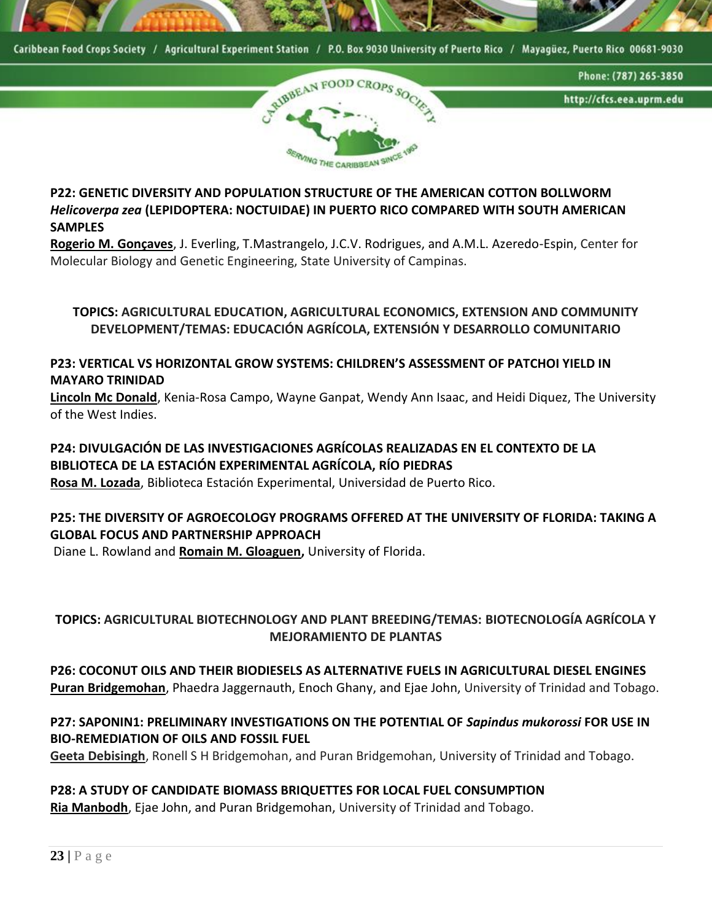



**P22: GENETIC DIVERSITY AND POPULATION STRUCTURE OF THE AMERICAN COTTON BOLLWORM**  *Helicoverpa zea* **(LEPIDOPTERA: NOCTUIDAE) IN PUERTO RICO COMPARED WITH SOUTH AMERICAN SAMPLES** 

**Rogerio M. Gonçaves**, J. Everling, T.Mastrangelo, J.C.V. Rodrigues, and A.M.L. Azeredo-Espin, Center for Molecular Biology and Genetic Engineering, State University of Campinas.

**TOPICS: AGRICULTURAL EDUCATION, AGRICULTURAL ECONOMICS, EXTENSION AND COMMUNITY DEVELOPMENT/TEMAS: EDUCACIÓN AGRÍCOLA, EXTENSIÓN Y DESARROLLO COMUNITARIO**

**P23: VERTICAL VS HORIZONTAL GROW SYSTEMS: CHILDREN'S ASSESSMENT OF PATCHOI YIELD IN MAYARO TRINIDAD**

**Lincoln Mc Donald**, Kenia-Rosa Campo, Wayne Ganpat, Wendy Ann Isaac, and Heidi Diquez, The University of the West Indies.

### **P24: DIVULGACIÓN DE LAS INVESTIGACIONES AGRÍCOLAS REALIZADAS EN EL CONTEXTO DE LA BIBLIOTECA DE LA ESTACIÓN EXPERIMENTAL AGRÍCOLA, RÍO PIEDRAS**

**Rosa M. Lozada**, Biblioteca Estación Experimental, Universidad de Puerto Rico.

### **P25: THE DIVERSITY OF AGROECOLOGY PROGRAMS OFFERED AT THE UNIVERSITY OF FLORIDA: TAKING A GLOBAL FOCUS AND PARTNERSHIP APPROACH**

Diane L. Rowland and **Romain M. Gloaguen,** University of Florida.

### **TOPICS: AGRICULTURAL BIOTECHNOLOGY AND PLANT BREEDING/TEMAS: BIOTECNOLOGÍA AGRÍCOLA Y MEJORAMIENTO DE PLANTAS**

**P26: COCONUT OILS AND THEIR BIODIESELS AS ALTERNATIVE FUELS IN AGRICULTURAL DIESEL ENGINES Puran Bridgemohan**, Phaedra Jaggernauth, Enoch Ghany, and Ejae John, University of Trinidad and Tobago.

### **P27: SAPONIN1: PRELIMINARY INVESTIGATIONS ON THE POTENTIAL OF** *Sapindus mukorossi* **FOR USE IN BIO-REMEDIATION OF OILS AND FOSSIL FUEL**

**Geeta Debisingh**, Ronell S H Bridgemohan, and Puran Bridgemohan, University of Trinidad and Tobago.

**P28: A STUDY OF CANDIDATE BIOMASS BRIQUETTES FOR LOCAL FUEL CONSUMPTION Ria Manbodh**, Ejae John, and Puran Bridgemohan, University of Trinidad and Tobago.